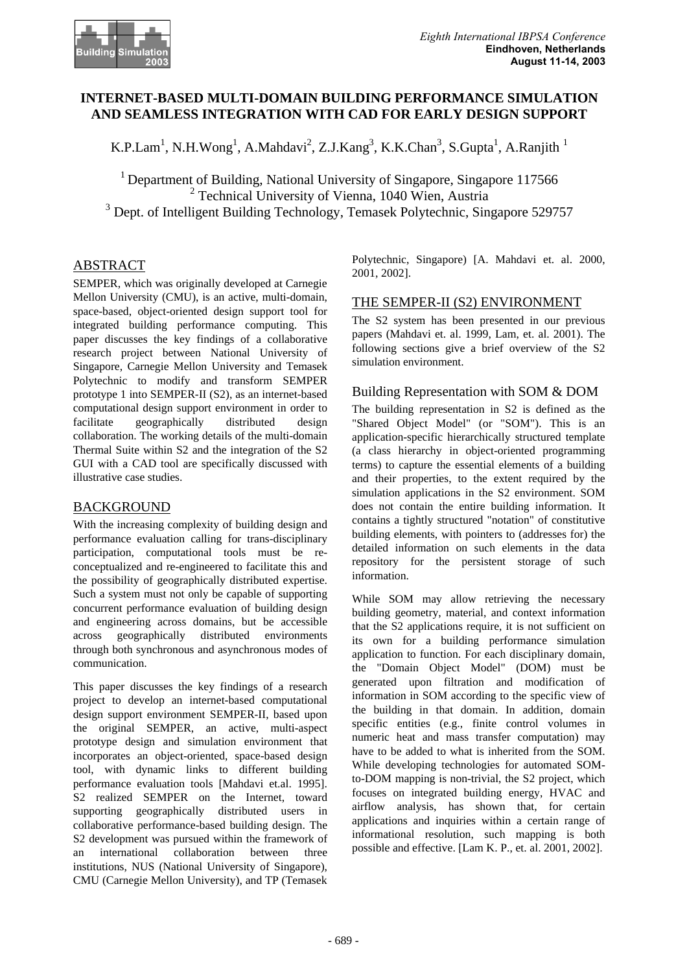

# **INTERNET-BASED MULTI-DOMAIN BUILDING PERFORMANCE SIMULATION AND SEAMLESS INTEGRATION WITH CAD FOR EARLY DESIGN SUPPORT**

K.P.Lam<sup>1</sup>, N.H.Wong<sup>1</sup>, A.Mahdavi<sup>2</sup>, Z.J.Kang<sup>3</sup>, K.K.Chan<sup>3</sup>, S.Gupta<sup>1</sup>, A.Ranjith<sup>1</sup>

<sup>1</sup> Department of Building, National University of Singapore, Singapore 117566 2 Technical University of Vienna, 1040 Wien, Austria  $3$  Dept. of Intelligent Building Technology, Temasek Polytechnic, Singapore 529757

## **ABSTRACT**

SEMPER, which was originally developed at Carnegie Mellon University (CMU), is an active, multi-domain, space-based, object-oriented design support tool for integrated building performance computing. This paper discusses the key findings of a collaborative research project between National University of Singapore, Carnegie Mellon University and Temasek Polytechnic to modify and transform SEMPER prototype 1 into SEMPER-II (S2), as an internet-based computational design support environment in order to facilitate geographically distributed design collaboration. The working details of the multi-domain Thermal Suite within S2 and the integration of the S2 GUI with a CAD tool are specifically discussed with illustrative case studies.

### BACKGROUND

With the increasing complexity of building design and performance evaluation calling for trans-disciplinary participation, computational tools must be reconceptualized and re-engineered to facilitate this and the possibility of geographically distributed expertise. Such a system must not only be capable of supporting concurrent performance evaluation of building design and engineering across domains, but be accessible across geographically distributed environments through both synchronous and asynchronous modes of communication.

This paper discusses the key findings of a research project to develop an internet-based computational design support environment SEMPER-II, based upon the original SEMPER, an active, multi-aspect prototype design and simulation environment that incorporates an object-oriented, space-based design tool, with dynamic links to different building performance evaluation tools [Mahdavi et.al. 1995]. S2 realized SEMPER on the Internet, toward supporting geographically distributed users in collaborative performance-based building design. The S2 development was pursued within the framework of an international collaboration between three institutions, NUS (National University of Singapore), CMU (Carnegie Mellon University), and TP (Temasek

Polytechnic, Singapore) [A. Mahdavi et. al. 2000, 2001, 2002].

# THE SEMPER-II (S2) ENVIRONMENT

The S2 system has been presented in our previous papers (Mahdavi et. al. 1999, Lam, et. al. 2001). The following sections give a brief overview of the S2 simulation environment.

## Building Representation with SOM & DOM

The building representation in S2 is defined as the "Shared Object Model" (or "SOM"). This is an application-specific hierarchically structured template (a class hierarchy in object-oriented programming terms) to capture the essential elements of a building and their properties, to the extent required by the simulation applications in the S2 environment. SOM does not contain the entire building information. It contains a tightly structured "notation" of constitutive building elements, with pointers to (addresses for) the detailed information on such elements in the data repository for the persistent storage of such information.

While SOM may allow retrieving the necessary building geometry, material, and context information that the S2 applications require, it is not sufficient on its own for a building performance simulation application to function. For each disciplinary domain, the "Domain Object Model" (DOM) must be generated upon filtration and modification of information in SOM according to the specific view of the building in that domain. In addition, domain specific entities (e.g., finite control volumes in numeric heat and mass transfer computation) may have to be added to what is inherited from the SOM. While developing technologies for automated SOMto-DOM mapping is non-trivial, the S2 project, which focuses on integrated building energy, HVAC and airflow analysis, has shown that, for certain applications and inquiries within a certain range of informational resolution, such mapping is both possible and effective. [Lam K. P., et. al. 2001, 2002].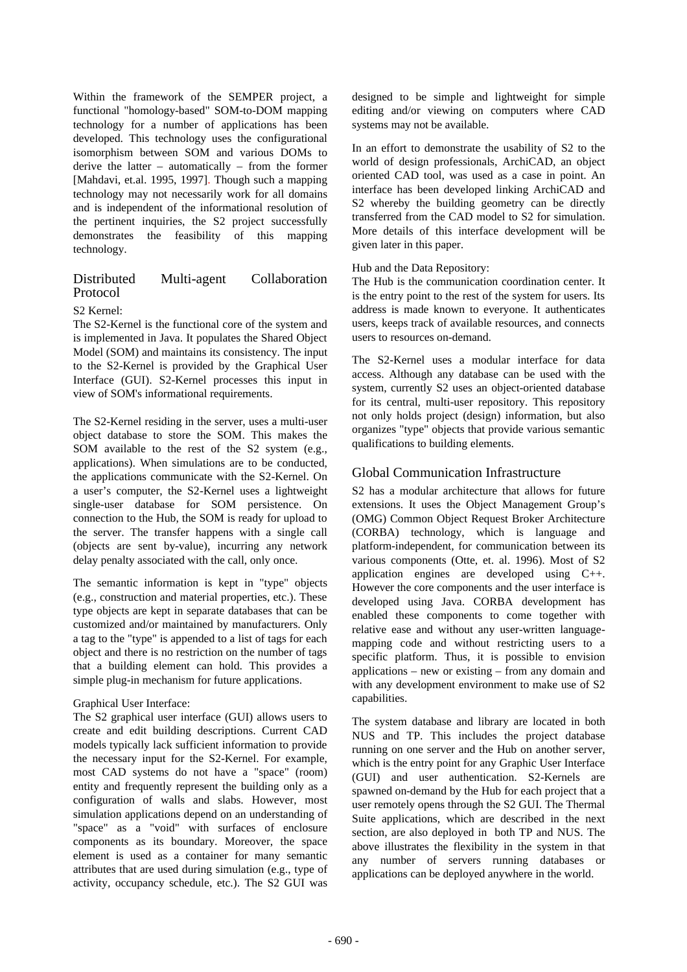Within the framework of the SEMPER project, a functional "homology-based" SOM-to-DOM mapping technology for a number of applications has been developed. This technology uses the configurational isomorphism between SOM and various DOMs to derive the latter – automatically – from the former [Mahdavi, et.al. 1995, 1997]. Though such a mapping technology may not necessarily work for all domains and is independent of the informational resolution of the pertinent inquiries, the S2 project successfully demonstrates the feasibility of this mapping technology.

### Distributed Multi-agent Collaboration Protocol

### S2 Kernel:

The S2-Kernel is the functional core of the system and is implemented in Java. It populates the Shared Object Model (SOM) and maintains its consistency. The input to the S2-Kernel is provided by the Graphical User Interface (GUI). S2-Kernel processes this input in view of SOM's informational requirements.

The S2-Kernel residing in the server, uses a multi-user object database to store the SOM. This makes the SOM available to the rest of the S2 system (e.g., applications). When simulations are to be conducted, the applications communicate with the S2-Kernel. On a user's computer, the S2-Kernel uses a lightweight single-user database for SOM persistence. On connection to the Hub, the SOM is ready for upload to the server. The transfer happens with a single call (objects are sent by-value), incurring any network delay penalty associated with the call, only once.

The semantic information is kept in "type" objects (e.g., construction and material properties, etc.). These type objects are kept in separate databases that can be customized and/or maintained by manufacturers. Only a tag to the "type" is appended to a list of tags for each object and there is no restriction on the number of tags that a building element can hold. This provides a simple plug-in mechanism for future applications.

### Graphical User Interface:

The S2 graphical user interface (GUI) allows users to create and edit building descriptions. Current CAD models typically lack sufficient information to provide the necessary input for the S2-Kernel. For example, most CAD systems do not have a "space" (room) entity and frequently represent the building only as a configuration of walls and slabs. However, most simulation applications depend on an understanding of "space" as a "void" with surfaces of enclosure components as its boundary. Moreover, the space element is used as a container for many semantic attributes that are used during simulation (e.g., type of activity, occupancy schedule, etc.). The S2 GUI was

designed to be simple and lightweight for simple editing and/or viewing on computers where CAD systems may not be available.

In an effort to demonstrate the usability of S2 to the world of design professionals, ArchiCAD, an object oriented CAD tool, was used as a case in point. An interface has been developed linking ArchiCAD and S2 whereby the building geometry can be directly transferred from the CAD model to S2 for simulation. More details of this interface development will be given later in this paper.

### Hub and the Data Repository:

The Hub is the communication coordination center. It is the entry point to the rest of the system for users. Its address is made known to everyone. It authenticates users, keeps track of available resources, and connects users to resources on-demand.

The S2-Kernel uses a modular interface for data access. Although any database can be used with the system, currently S2 uses an object-oriented database for its central, multi-user repository. This repository not only holds project (design) information, but also organizes "type" objects that provide various semantic qualifications to building elements.

## Global Communication Infrastructure

S2 has a modular architecture that allows for future extensions. It uses the Object Management Group's (OMG) Common Object Request Broker Architecture (CORBA) technology, which is language and platform-independent, for communication between its various components (Otte, et. al. 1996). Most of S2 application engines are developed using C++. However the core components and the user interface is developed using Java. CORBA development has enabled these components to come together with relative ease and without any user-written languagemapping code and without restricting users to a specific platform. Thus, it is possible to envision applications – new or existing – from any domain and with any development environment to make use of S2 capabilities.

The system database and library are located in both NUS and TP. This includes the project database running on one server and the Hub on another server, which is the entry point for any Graphic User Interface (GUI) and user authentication. S2-Kernels are spawned on-demand by the Hub for each project that a user remotely opens through the S2 GUI. The Thermal Suite applications, which are described in the next section, are also deployed in both TP and NUS. The above illustrates the flexibility in the system in that any number of servers running databases or applications can be deployed anywhere in the world.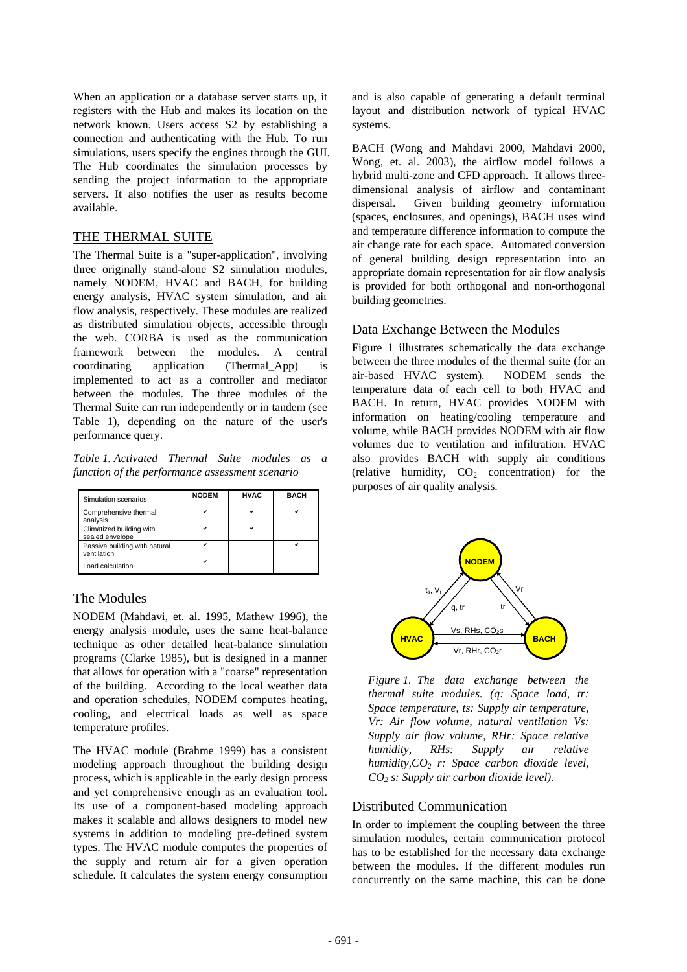When an application or a database server starts up, it registers with the Hub and makes its location on the network known. Users access S2 by establishing a connection and authenticating with the Hub. To run simulations, users specify the engines through the GUI. The Hub coordinates the simulation processes by sending the project information to the appropriate servers. It also notifies the user as results become available.

## THE THERMAL SUITE

The Thermal Suite is a "super-application", involving three originally stand-alone S2 simulation modules, namely NODEM, HVAC and BACH, for building energy analysis, HVAC system simulation, and air flow analysis, respectively. These modules are realized as distributed simulation objects, accessible through the web. CORBA is used as the communication framework between the modules. A central coordinating application (Thermal\_App) is implemented to act as a controller and mediator between the modules. The three modules of the Thermal Suite can run independently or in tandem (see Table 1), depending on the nature of the user's performance query.

*Table 1. Activated Thermal Suite modules as a function of the performance assessment scenario*

| Simulation scenarios                         | <b>NODEM</b> | <b>HVAC</b> | <b>BACH</b> |
|----------------------------------------------|--------------|-------------|-------------|
| Comprehensive thermal<br>analysis            |              |             |             |
| Climatized building with<br>sealed envelope  |              |             |             |
| Passive building with natural<br>ventilation |              |             |             |
| Load calculation                             |              |             |             |

# The Modules

NODEM (Mahdavi, et. al. 1995, Mathew 1996), the energy analysis module, uses the same heat-balance technique as other detailed heat-balance simulation programs (Clarke 1985), but is designed in a manner that allows for operation with a "coarse" representation of the building. According to the local weather data and operation schedules, NODEM computes heating, cooling, and electrical loads as well as space temperature profiles.

The HVAC module (Brahme 1999) has a consistent modeling approach throughout the building design process, which is applicable in the early design process and yet comprehensive enough as an evaluation tool. Its use of a component-based modeling approach makes it scalable and allows designers to model new systems in addition to modeling pre-defined system types. The HVAC module computes the properties of the supply and return air for a given operation schedule. It calculates the system energy consumption

and is also capable of generating a default terminal layout and distribution network of typical HVAC systems.

BACH (Wong and Mahdavi 2000, Mahdavi 2000, Wong, et. al. 2003), the airflow model follows a hybrid multi-zone and CFD approach. It allows threedimensional analysis of airflow and contaminant dispersal. Given building geometry information (spaces, enclosures, and openings), BACH uses wind and temperature difference information to compute the air change rate for each space. Automated conversion of general building design representation into an appropriate domain representation for air flow analysis is provided for both orthogonal and non-orthogonal building geometries.

# Data Exchange Between the Modules

Figure 1 illustrates schematically the data exchange between the three modules of the thermal suite (for an air-based HVAC system). NODEM sends the temperature data of each cell to both HVAC and BACH. In return, HVAC provides NODEM with information on heating/cooling temperature and volume, while BACH provides NODEM with air flow volumes due to ventilation and infiltration. HVAC also provides BACH with supply air conditions (relative humidity,  $CO<sub>2</sub>$  concentration) for the purposes of air quality analysis.



*Figure 1. The data exchange between the thermal suite modules. (q: Space load, tr: Space temperature, ts: Supply air temperature, Vr: Air flow volume, natural ventilation Vs: Supply air flow volume, RHr: Space relative humidity, RHs: Supply air relative humidity,CO2 r: Space carbon dioxide level, CO2 s: Supply air carbon dioxide level).*

## Distributed Communication

In order to implement the coupling between the three simulation modules, certain communication protocol has to be established for the necessary data exchange between the modules. If the different modules run concurrently on the same machine, this can be done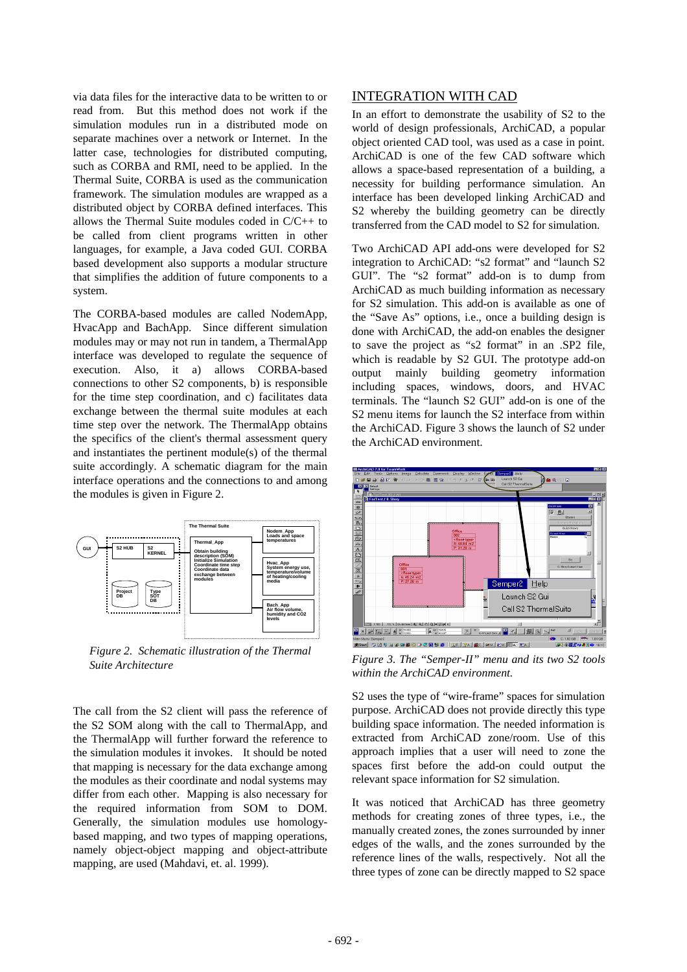via data files for the interactive data to be written to or read from. But this method does not work if the simulation modules run in a distributed mode on separate machines over a network or Internet. In the latter case, technologies for distributed computing, such as CORBA and RMI, need to be applied. In the Thermal Suite, CORBA is used as the communication framework. The simulation modules are wrapped as a distributed object by CORBA defined interfaces. This allows the Thermal Suite modules coded in C/C++ to be called from client programs written in other languages, for example, a Java coded GUI. CORBA based development also supports a modular structure that simplifies the addition of future components to a system.

The CORBA-based modules are called NodemApp, HvacApp and BachApp. Since different simulation modules may or may not run in tandem, a ThermalApp interface was developed to regulate the sequence of execution. Also, it a) allows CORBA-based connections to other S2 components, b) is responsible for the time step coordination, and c) facilitates data exchange between the thermal suite modules at each time step over the network. The ThermalApp obtains the specifics of the client's thermal assessment query and instantiates the pertinent module(s) of the thermal suite accordingly. A schematic diagram for the main interface operations and the connections to and among the modules is given in Figure 2.



*Figure 2. Schematic illustration of the Thermal Suite Architecture*

The call from the S2 client will pass the reference of the S2 SOM along with the call to ThermalApp, and the ThermalApp will further forward the reference to the simulation modules it invokes. It should be noted that mapping is necessary for the data exchange among the modules as their coordinate and nodal systems may differ from each other. Mapping is also necessary for the required information from SOM to DOM. Generally, the simulation modules use homologybased mapping, and two types of mapping operations, namely object-object mapping and object-attribute mapping, are used (Mahdavi, et. al. 1999).

### INTEGRATION WITH CAD

In an effort to demonstrate the usability of S2 to the world of design professionals, ArchiCAD, a popular object oriented CAD tool, was used as a case in point. ArchiCAD is one of the few CAD software which allows a space-based representation of a building, a necessity for building performance simulation. An interface has been developed linking ArchiCAD and S2 whereby the building geometry can be directly transferred from the CAD model to S2 for simulation.

Two ArchiCAD API add-ons were developed for S2 integration to ArchiCAD: "s2 format" and "launch S2 GUI". The "s2 format" add-on is to dump from ArchiCAD as much building information as necessary for S2 simulation. This add-on is available as one of the "Save As" options, i.e., once a building design is done with ArchiCAD, the add-on enables the designer to save the project as "s2 format" in an .SP2 file, which is readable by S2 GUI. The prototype add-on output mainly building geometry information including spaces, windows, doors, and HVAC terminals. The "launch S2 GUI" add-on is one of the S2 menu items for launch the S2 interface from within the ArchiCAD. Figure 3 shows the launch of S2 under the ArchiCAD environment.



*Figure 3. The "Semper-II" menu and its two S2 tools within the ArchiCAD environment.*

S2 uses the type of "wire-frame" spaces for simulation purpose. ArchiCAD does not provide directly this type building space information. The needed information is extracted from ArchiCAD zone/room. Use of this approach implies that a user will need to zone the spaces first before the add-on could output the relevant space information for S2 simulation.

It was noticed that ArchiCAD has three geometry methods for creating zones of three types, i.e., the manually created zones, the zones surrounded by inner edges of the walls, and the zones surrounded by the reference lines of the walls, respectively. Not all the three types of zone can be directly mapped to S2 space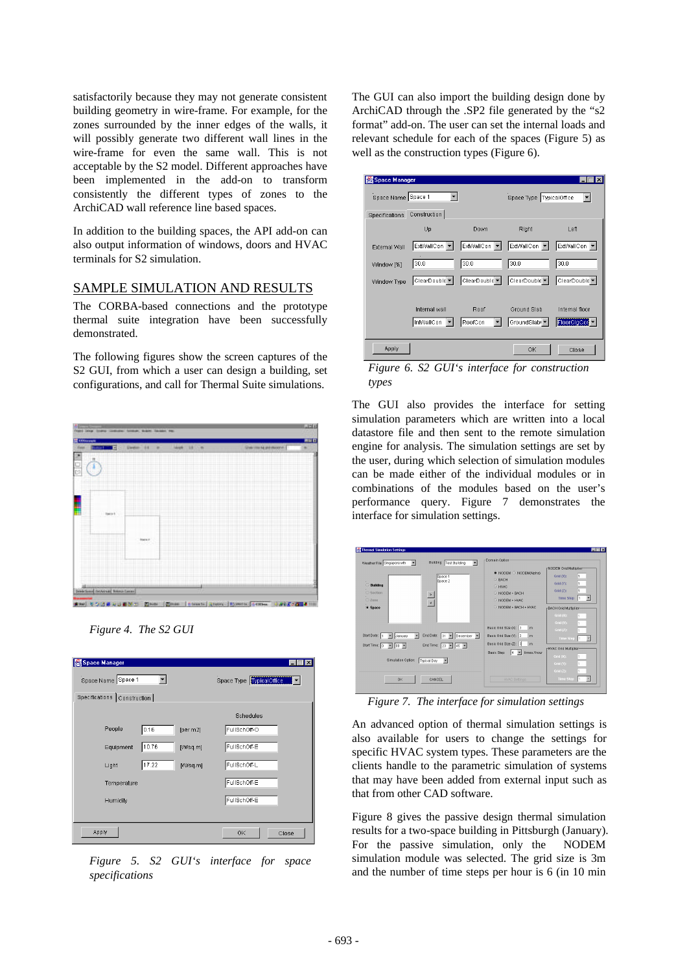satisfactorily because they may not generate consistent building geometry in wire-frame. For example, for the zones surrounded by the inner edges of the walls, it will possibly generate two different wall lines in the wire-frame for even the same wall. This is not acceptable by the S2 model. Different approaches have been implemented in the add-on to transform consistently the different types of zones to the ArchiCAD wall reference line based spaces.

In addition to the building spaces, the API add-on can also output information of windows, doors and HVAC terminals for S2 simulation.

### SAMPLE SIMULATION AND RESULTS

The CORBA-based connections and the prototype thermal suite integration have been successfully demonstrated.

The following figures show the screen captures of the S2 GUI, from which a user can design a building, set configurations, and call for Thermal Suite simulations.





| Space Manager               |       |                          |              |  |
|-----------------------------|-------|--------------------------|--------------|--|
| Space Name Space 1          |       | Space Type TypicalOffice |              |  |
| Specifications Construction |       |                          |              |  |
|                             |       |                          | Schedules    |  |
| People                      | 0.16  | [per m2]                 | FullSchOff-O |  |
| Equipment                   | 10.76 | M/sq.ml                  | FullSchOff-E |  |
| Light                       | 17.22 | [W/sq.m]                 | FullSchOff-L |  |
| Temperature                 |       |                          | FullSchOff-E |  |
| Humidity                    |       |                          | FullSchOff-E |  |
|                             |       |                          |              |  |
| Apply                       |       |                          | OK<br>Close  |  |

*Figure 5. S2 GUI's interface for space specifications*

The GUI can also import the building design done by ArchiCAD through the .SP2 file generated by the "s2 format" add-on. The user can set the internal loads and relevant schedule for each of the spaces (Figure 5) as well as the construction types (Figure 6).

| Space Manager                  |               |                          |                          |                |
|--------------------------------|---------------|--------------------------|--------------------------|----------------|
| Space Name Space 1             |               |                          | Space Type TypicalOffice |                |
| Construction<br>Specifications |               |                          |                          |                |
|                                | Up            | Down                     | Right                    | Left           |
| External Wall                  | ExtWallCon    | ExtWallCon               | ExtWallCon               | ExtWallCon     |
| Window [%]                     | 30.0          | 30.0                     | 30.0                     | 30.0           |
| Window Type                    | ClearDouble ▼ | ClearDouble <sup>v</sup> | ClearDouble <sup>v</sup> | ClearDouble ▼  |
|                                |               |                          |                          |                |
|                                | Internal wall | Roof                     | Ground Slab              | Internal floor |
|                                | InfWallCon    | RoofCon                  | GroundSlabi              | FloorClgCor    |
| Apply                          |               |                          | OK                       | Close          |

*Figure 6. S2 GUI's interface for construction types*

The GUI also provides the interface for setting simulation parameters which are written into a local datastore file and then sent to the remote simulation engine for analysis. The simulation settings are set by the user, during which selection of simulation modules can be made either of the individual modules or in combinations of the modules based on the user's performance query. Figure 7 demonstrates the interface for simulation settings.

| <b>Sig Thermal Simulation Settings</b>                                                         |                                                                  | 医直区                                                                 |
|------------------------------------------------------------------------------------------------|------------------------------------------------------------------|---------------------------------------------------------------------|
| <b>Building Test Building</b><br>Weather File Singapore.wth<br>▼                               | Domain Option                                                    | r-NODEM Grid Multiplier-                                            |
| Space 1<br>Space 2<br><b>Building</b><br>○ Section                                             | O NODEM O NODEM(Alpha)<br>C BACH<br>C HVAC<br>NODEM + BACH       | Grid (X):<br>Grid (Y):<br>Grid (Z):                                 |
| $\frac{1}{\sqrt{2}}$<br>○ Zone<br>· Space                                                      | NODEM + HVAC<br>NODEM + BACH + HVAC                              | <b>Time Step</b><br>×<br>H.<br>r-BACH Grid Multiplier-<br>Grid (X): |
| Start Date: 1<br>End Date: 31 V December V<br>January                                          | Basic Grid Size (X): 3<br>m<br>Basic Grid Size (Y): 3<br>m       | Grid (Y):<br>Grid $(2)$ :<br><b>Time Step</b>                       |
| Start Time: 0 <u>×</u> 00 ×<br>End Time: $23$ = 45 =<br>Simulation Option:<br>Typical Day<br>× | Basic Grid Size (Z): 3<br>m<br>times / hour<br>Basic Step:<br>14 | r-HVAC Grid Multiplier-<br>Grid (X):                                |
| OK<br>CANCEL                                                                                   | <b>HVAC Settings</b>                                             | Grid (Y):<br>Grid (Z):<br><b>Time Step</b><br>H.                    |

*Figure 7. The interface for simulation settings*

An advanced option of thermal simulation settings is also available for users to change the settings for specific HVAC system types. These parameters are the clients handle to the parametric simulation of systems that may have been added from external input such as that from other CAD software.

Figure 8 gives the passive design thermal simulation results for a two-space building in Pittsburgh (January). For the passive simulation, only the NODEM simulation module was selected. The grid size is 3m and the number of time steps per hour is 6 (in 10 min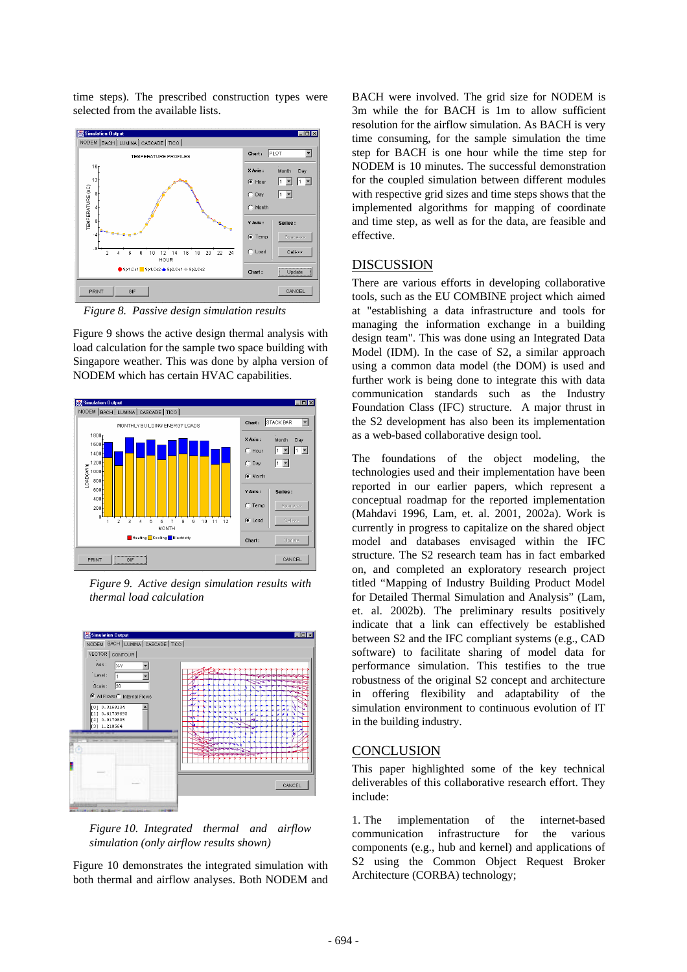time steps). The prescribed construction types were selected from the available lists.



*Figure 8. Passive design simulation results*

Figure 9 shows the active design thermal analysis with load calculation for the sample two space building with Singapore weather. This was done by alpha version of NODEM which has certain HVAC capabilities.



*Figure 9. Active design simulation results with thermal load calculation* 



*Figure 10. Integrated thermal and airflow simulation (only airflow results shown)*

Figure 10 demonstrates the integrated simulation with both thermal and airflow analyses. Both NODEM and

BACH were involved. The grid size for NODEM is 3m while the for BACH is 1m to allow sufficient resolution for the airflow simulation. As BACH is very time consuming, for the sample simulation the time step for BACH is one hour while the time step for NODEM is 10 minutes. The successful demonstration for the coupled simulation between different modules with respective grid sizes and time steps shows that the implemented algorithms for mapping of coordinate and time step, as well as for the data, are feasible and effective.

### DISCUSSION

There are various efforts in developing collaborative tools, such as the EU COMBINE project which aimed at "establishing a data infrastructure and tools for managing the information exchange in a building design team". This was done using an Integrated Data Model (IDM). In the case of S2, a similar approach using a common data model (the DOM) is used and further work is being done to integrate this with data communication standards such as the Industry Foundation Class (IFC) structure. A major thrust in the S2 development has also been its implementation as a web-based collaborative design tool.

The foundations of the object modeling, the technologies used and their implementation have been reported in our earlier papers, which represent a conceptual roadmap for the reported implementation (Mahdavi 1996, Lam, et. al. 2001, 2002a). Work is currently in progress to capitalize on the shared object model and databases envisaged within the IFC structure. The S2 research team has in fact embarked on, and completed an exploratory research project titled "Mapping of Industry Building Product Model for Detailed Thermal Simulation and Analysis" (Lam, et. al. 2002b). The preliminary results positively indicate that a link can effectively be established between S2 and the IFC compliant systems (e.g., CAD software) to facilitate sharing of model data for performance simulation. This testifies to the true robustness of the original S2 concept and architecture in offering flexibility and adaptability of the simulation environment to continuous evolution of IT in the building industry.

### **CONCLUSION**

This paper highlighted some of the key technical deliverables of this collaborative research effort. They include:

1. The implementation of the internet-based communication infrastructure for the various components (e.g., hub and kernel) and applications of S2 using the Common Object Request Broker Architecture (CORBA) technology;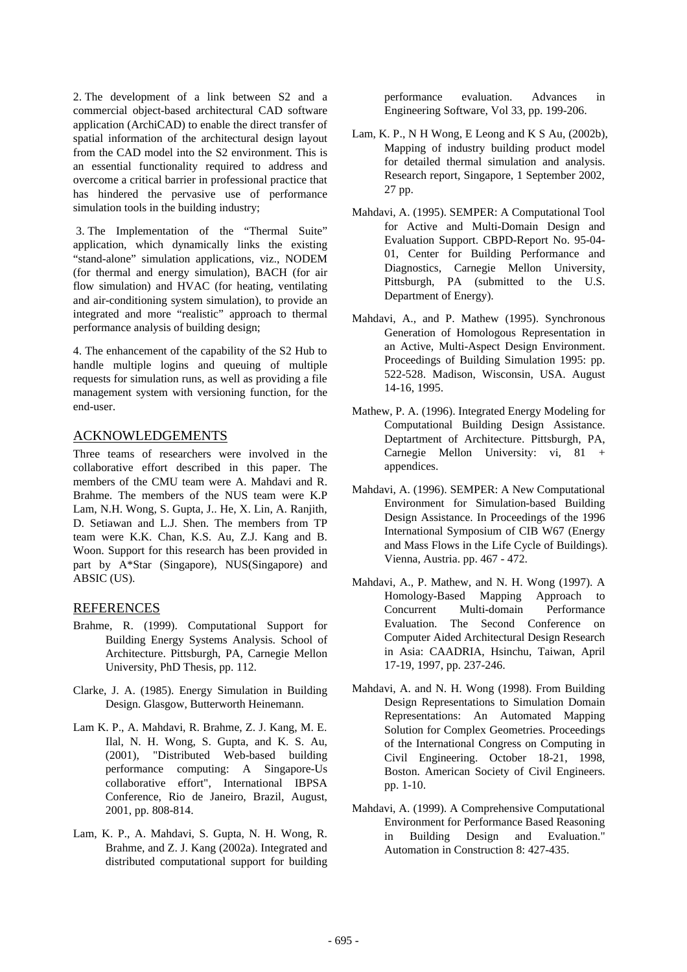2. The development of a link between S2 and a commercial object-based architectural CAD software application (ArchiCAD) to enable the direct transfer of spatial information of the architectural design layout from the CAD model into the S2 environment. This is an essential functionality required to address and overcome a critical barrier in professional practice that has hindered the pervasive use of performance simulation tools in the building industry;

 3. The Implementation of the "Thermal Suite" application, which dynamically links the existing "stand-alone" simulation applications, viz., NODEM (for thermal and energy simulation), BACH (for air flow simulation) and HVAC (for heating, ventilating and air-conditioning system simulation), to provide an integrated and more "realistic" approach to thermal performance analysis of building design;

4. The enhancement of the capability of the S2 Hub to handle multiple logins and queuing of multiple requests for simulation runs, as well as providing a file management system with versioning function, for the end-user.

### ACKNOWLEDGEMENTS

Three teams of researchers were involved in the collaborative effort described in this paper. The members of the CMU team were A. Mahdavi and R. Brahme. The members of the NUS team were K.P Lam, N.H. Wong, S. Gupta, J.. He, X. Lin, A. Ranjith, D. Setiawan and L.J. Shen. The members from TP team were K.K. Chan, K.S. Au, Z.J. Kang and B. Woon. Support for this research has been provided in part by A\*Star (Singapore), NUS(Singapore) and ABSIC (US).

### REFERENCES

- Brahme, R. (1999). Computational Support for Building Energy Systems Analysis. School of Architecture. Pittsburgh, PA, Carnegie Mellon University, PhD Thesis, pp. 112.
- Clarke, J. A. (1985). Energy Simulation in Building Design. Glasgow, Butterworth Heinemann.
- Lam K. P., A. Mahdavi, R. Brahme, Z. J. Kang, M. E. Ilal, N. H. Wong, S. Gupta, and K. S. Au, (2001), "Distributed Web-based building performance computing: A Singapore-Us collaborative effort", International IBPSA Conference, Rio de Janeiro, Brazil, August, 2001, pp. 808-814.
- Lam, K. P., A. Mahdavi, S. Gupta, N. H. Wong, R. Brahme, and Z. J. Kang (2002a). Integrated and distributed computational support for building

performance evaluation. Advances in Engineering Software, Vol 33, pp. 199-206.

- Lam, K. P., N H Wong, E Leong and K S Au, (2002b), Mapping of industry building product model for detailed thermal simulation and analysis. Research report, Singapore, 1 September 2002, 27 pp.
- Mahdavi, A. (1995). SEMPER: A Computational Tool for Active and Multi-Domain Design and Evaluation Support. CBPD-Report No. 95-04- 01, Center for Building Performance and Diagnostics, Carnegie Mellon University, Pittsburgh, PA (submitted to the U.S. Department of Energy).
- Mahdavi, A., and P. Mathew (1995). Synchronous Generation of Homologous Representation in an Active, Multi-Aspect Design Environment. Proceedings of Building Simulation 1995: pp. 522-528. Madison, Wisconsin, USA. August 14-16, 1995.
- Mathew, P. A. (1996). Integrated Energy Modeling for Computational Building Design Assistance. Deptartment of Architecture. Pittsburgh, PA, Carnegie Mellon University: vi, 81 + appendices.
- Mahdavi, A. (1996). SEMPER: A New Computational Environment for Simulation-based Building Design Assistance. In Proceedings of the 1996 International Symposium of CIB W67 (Energy and Mass Flows in the Life Cycle of Buildings). Vienna, Austria. pp. 467 - 472.
- Mahdavi, A., P. Mathew, and N. H. Wong (1997). A Homology-Based Mapping Approach to Concurrent Multi-domain Performance Evaluation. The Second Conference on Computer Aided Architectural Design Research in Asia: CAADRIA, Hsinchu, Taiwan, April 17-19, 1997, pp. 237-246.
- Mahdavi, A. and N. H. Wong (1998). From Building Design Representations to Simulation Domain Representations: An Automated Mapping Solution for Complex Geometries. Proceedings of the International Congress on Computing in Civil Engineering. October 18-21, 1998, Boston. American Society of Civil Engineers. pp. 1-10.
- Mahdavi, A. (1999). A Comprehensive Computational Environment for Performance Based Reasoning in Building Design and Evaluation." Automation in Construction 8: 427-435.